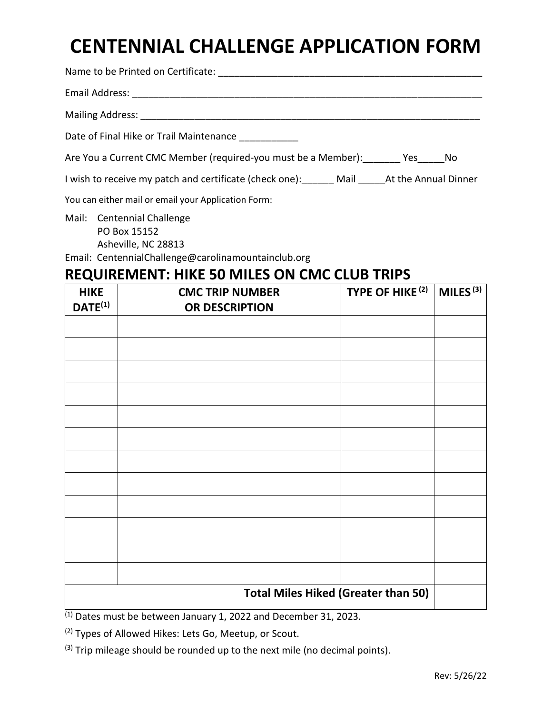## **CENTENNIAL CHALLENGE APPLICATION FORM**

| Date of Final Hike or Trail Maintenance ___________                               |
|-----------------------------------------------------------------------------------|
| Are You a Current CMC Member (required-you must be a Member): Yes No              |
| I wish to receive my patch and certificate (check one): Mail At the Annual Dinner |
| You can either mail or email your Application Form:                               |
| Mail Contennial Challenge                                                         |

- Mail: Centennial Challenge PO Box 15152 Asheville, NC 28813
- Email: CentennialChallenge@carolinamountainclub.org

### **REQUIREMENT: HIKE 50 MILES ON CMC CLUB TRIPS**

| <b>HIKE</b><br>$DATE^{(1)}$ | TYPE OF HIKE <sup>(2)</sup><br><b>CMC TRIP NUMBER</b><br>OR DESCRIPTION | MILES $\overline{\text{(3)}}$ |  |  |  |
|-----------------------------|-------------------------------------------------------------------------|-------------------------------|--|--|--|
|                             |                                                                         |                               |  |  |  |
|                             |                                                                         |                               |  |  |  |
|                             |                                                                         |                               |  |  |  |
|                             |                                                                         |                               |  |  |  |
|                             |                                                                         |                               |  |  |  |
|                             |                                                                         |                               |  |  |  |
|                             |                                                                         |                               |  |  |  |
|                             |                                                                         |                               |  |  |  |
|                             |                                                                         |                               |  |  |  |
|                             |                                                                         |                               |  |  |  |
|                             |                                                                         |                               |  |  |  |
|                             |                                                                         |                               |  |  |  |
|                             | <b>Total Miles Hiked (Greater than 50)</b>                              |                               |  |  |  |

 $(1)$  Dates must be between January 1, 2022 and December 31, 2023.

(2) Types of Allowed Hikes: Lets Go, Meetup, or Scout.

 $(3)$  Trip mileage should be rounded up to the next mile (no decimal points).